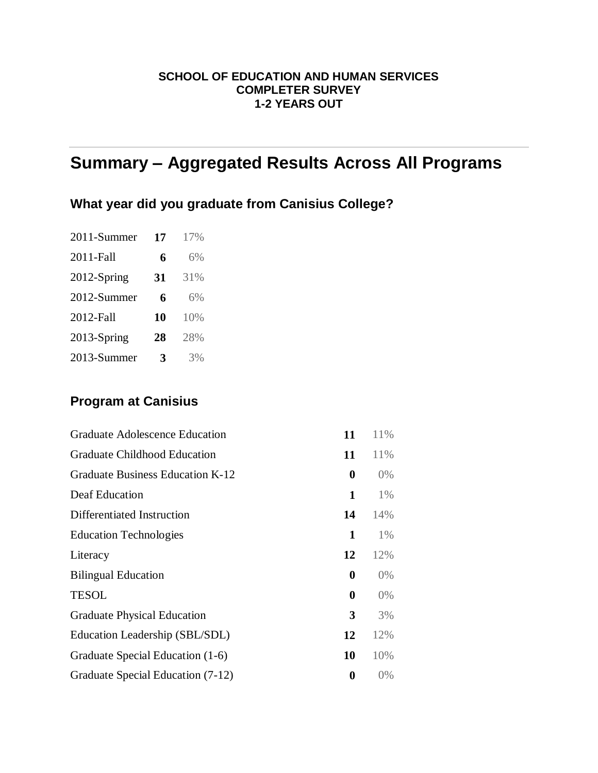#### **SCHOOL OF EDUCATION AND HUMAN SERVICES COMPLETER SURVEY 1-2 YEARS OUT**

# **Summary – Aggregated Results Across All Programs**

## **What year did you graduate from Canisius College?**

| 2011-Summer | 17 | 17% |
|-------------|----|-----|
| 2011-Fall   | 6  | 6%  |
| 2012-Spring | 31 | 31% |
| 2012-Summer | 6  | 6%  |
| 2012-Fall   | 10 | 10% |
| 2013-Spring | 28 | 28% |
| 2013-Summer | 3  | 3%  |

## **Program at Canisius**

| Graduate Adolescence Education      | 11               | 11%   |
|-------------------------------------|------------------|-------|
| <b>Graduate Childhood Education</b> | 11               | 11%   |
| Graduate Business Education K-12    | $\boldsymbol{0}$ | $0\%$ |
| Deaf Education                      | 1                | $1\%$ |
| Differentiated Instruction          | 14               | 14%   |
| <b>Education Technologies</b>       | 1                | $1\%$ |
| Literacy                            | 12               | 12%   |
| <b>Bilingual Education</b>          | $\boldsymbol{0}$ | $0\%$ |
| <b>TESOL</b>                        | 0                | $0\%$ |
| <b>Graduate Physical Education</b>  | 3                | 3%    |
| Education Leadership (SBL/SDL)      | 12               | 12%   |
| Graduate Special Education (1-6)    | 10               | 10%   |
| Graduate Special Education (7-12)   | 0                | $0\%$ |
|                                     |                  |       |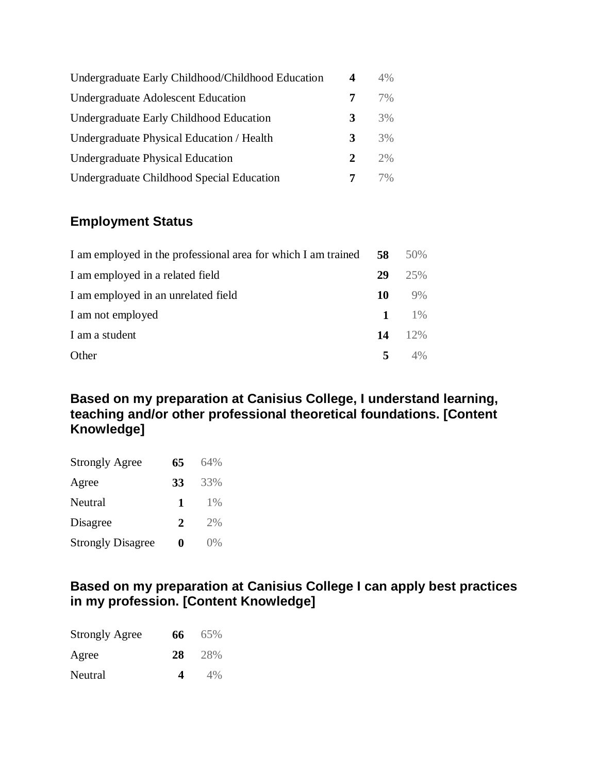| Undergraduate Early Childhood/Childhood Education | 4             | 4% |
|---------------------------------------------------|---------------|----|
| <b>Undergraduate Adolescent Education</b>         | 7             | 7% |
| Undergraduate Early Childhood Education           | 3             | 3% |
| Undergraduate Physical Education / Health         | 3             | 3% |
| <b>Undergraduate Physical Education</b>           | $\mathcal{L}$ | 2% |
| Undergraduate Childhood Special Education         |               | 7% |

## **Employment Status**

| I am employed in the professional area for which I am trained | 58          | $50\%$     |
|---------------------------------------------------------------|-------------|------------|
| I am employed in a related field                              | 29          | 25%        |
| I am employed in an unrelated field                           | 10          | 9%         |
| I am not employed                                             | $\mathbf 1$ | $1\%$      |
| I am a student                                                | 14          | 12%        |
| Other                                                         | 5           | $\Delta\%$ |

**Based on my preparation at Canisius College, I understand learning, teaching and/or other professional theoretical foundations. [Content Knowledge]**

| <b>Strongly Agree</b>    | 65 | 64%   |
|--------------------------|----|-------|
| Agree                    | 33 | 33%   |
| Neutral                  | 1  | $1\%$ |
| Disagree                 | 2  | 2%    |
| <b>Strongly Disagree</b> | 0  | 0%    |

## **Based on my preparation at Canisius College I can apply best practices in my profession. [Content Knowledge]**

| <b>Strongly Agree</b> | 66. | 65%  |
|-----------------------|-----|------|
| Agree                 | 28  | -28% |
| Neutral               | 4   | 4%   |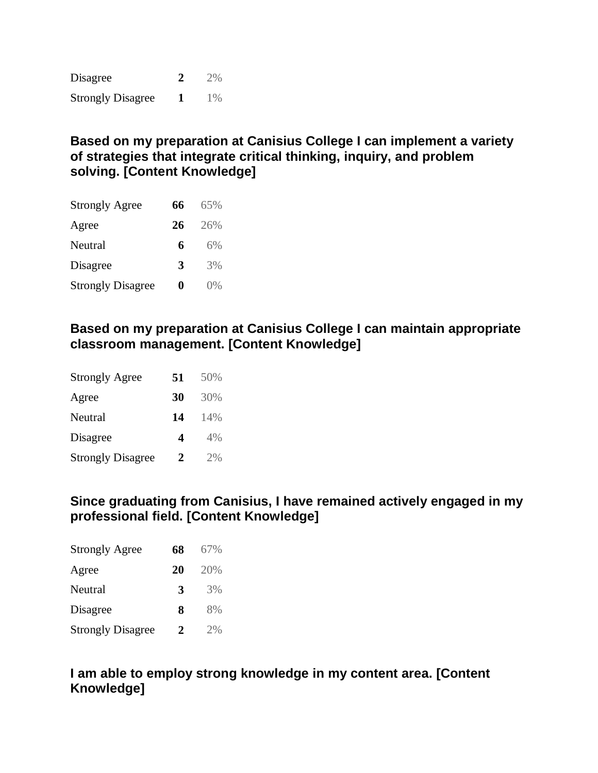Disagree **2** 2% Strongly Disagree **1** 1%

### **Based on my preparation at Canisius College I can implement a variety of strategies that integrate critical thinking, inquiry, and problem solving. [Content Knowledge]**

| <b>Strongly Agree</b>    | 66 | 65%   |
|--------------------------|----|-------|
| Agree                    | 26 | 26%   |
| Neutral                  | 6  | 6%    |
| Disagree                 | 3  | 3%    |
| <b>Strongly Disagree</b> | 0  | $0\%$ |

#### **Based on my preparation at Canisius College I can maintain appropriate classroom management. [Content Knowledge]**

| <b>Strongly Agree</b>    | 51 | 50% |
|--------------------------|----|-----|
| Agree                    | 30 | 30% |
| Neutral                  | 14 | 14% |
| Disagree                 | 4  | 4%  |
| <b>Strongly Disagree</b> | 2  | 2%  |

#### **Since graduating from Canisius, I have remained actively engaged in my professional field. [Content Knowledge]**

| <b>Strongly Agree</b>    | 68 | 67% |
|--------------------------|----|-----|
| Agree                    | 20 | 20% |
| Neutral                  | 3  | 3%  |
| Disagree                 | 8  | 8%  |
| <b>Strongly Disagree</b> | 2  | 2%  |

## **I am able to employ strong knowledge in my content area. [Content Knowledge]**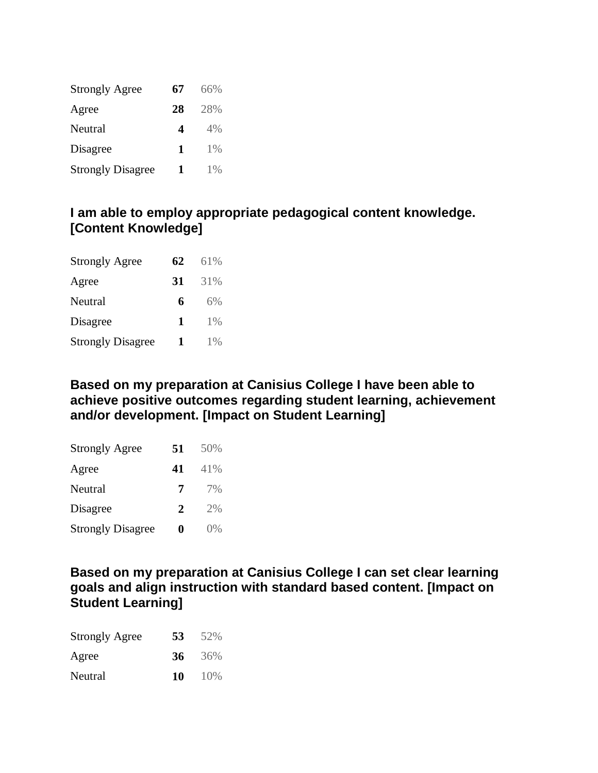| <b>Strongly Agree</b>    | 67 | 66%   |
|--------------------------|----|-------|
| Agree                    | 28 | 28%   |
| Neutral                  | 4  | 4%    |
| Disagree                 | 1  | $1\%$ |
| <b>Strongly Disagree</b> | 1  | $1\%$ |

#### **I am able to employ appropriate pedagogical content knowledge. [Content Knowledge]**

| <b>Strongly Agree</b>    | 62 | 61%   |
|--------------------------|----|-------|
| Agree                    | 31 | 31%   |
| Neutral                  | 6  | 6%    |
| Disagree                 | 1  | $1\%$ |
| <b>Strongly Disagree</b> | 1  | 1%    |

#### **Based on my preparation at Canisius College I have been able to achieve positive outcomes regarding student learning, achievement and/or development. [Impact on Student Learning]**

| <b>Strongly Agree</b>    | 51 | 50% |
|--------------------------|----|-----|
| Agree                    | 41 | 41% |
| Neutral                  | 7  | 7%  |
| Disagree                 | 2  | 2%  |
| <b>Strongly Disagree</b> | 0  | 0%  |

**Based on my preparation at Canisius College I can set clear learning goals and align instruction with standard based content. [Impact on Student Learning]**

| <b>Strongly Agree</b> | 53 | 52%       |
|-----------------------|----|-----------|
| Agree                 |    | 36 $36\%$ |
| Neutral               | 10 | $10\%$    |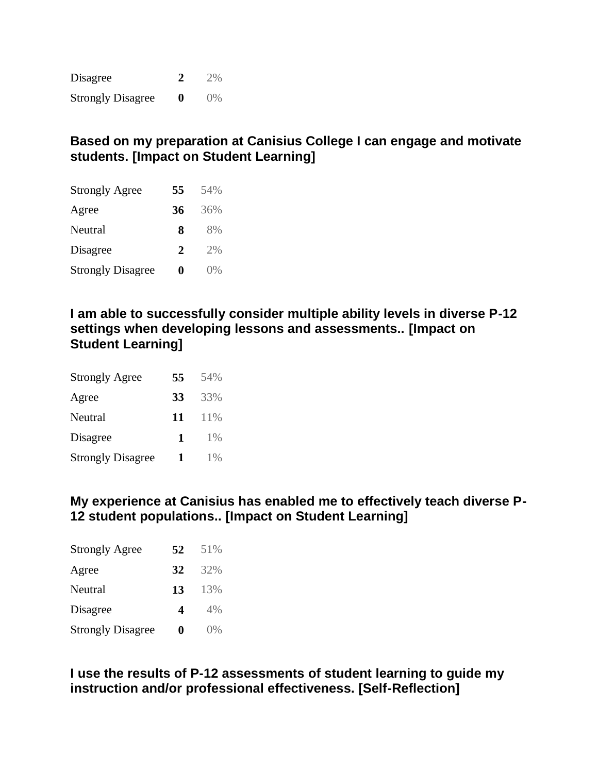| Disagree                 |             | 2%      |
|--------------------------|-------------|---------|
| <b>Strongly Disagree</b> | $\mathbf 0$ | $(1)$ % |

## **Based on my preparation at Canisius College I can engage and motivate students. [Impact on Student Learning]**

| <b>Strongly Agree</b>    | 55 | 54% |
|--------------------------|----|-----|
| Agree                    | 36 | 36% |
| Neutral                  | 8  | 8%  |
| Disagree                 | 2  | 2%  |
| <b>Strongly Disagree</b> | 0  | 0%  |

**I am able to successfully consider multiple ability levels in diverse P-12 settings when developing lessons and assessments.. [Impact on Student Learning]**

| <b>Strongly Agree</b>    | 55 | 54%   |
|--------------------------|----|-------|
| Agree                    | 33 | 33%   |
| Neutral                  | 11 | 11%   |
| Disagree                 | 1  | $1\%$ |
| <b>Strongly Disagree</b> | 1  | 1%    |

#### **My experience at Canisius has enabled me to effectively teach diverse P-12 student populations.. [Impact on Student Learning]**

| <b>Strongly Agree</b>    | 52 | 51%   |
|--------------------------|----|-------|
| Agree                    | 32 | 32%   |
| Neutral                  | 13 | 13%   |
| Disagree                 | 4  | 4%    |
| <b>Strongly Disagree</b> | 0  | $0\%$ |

**I use the results of P-12 assessments of student learning to guide my instruction and/or professional effectiveness. [Self-Reflection]**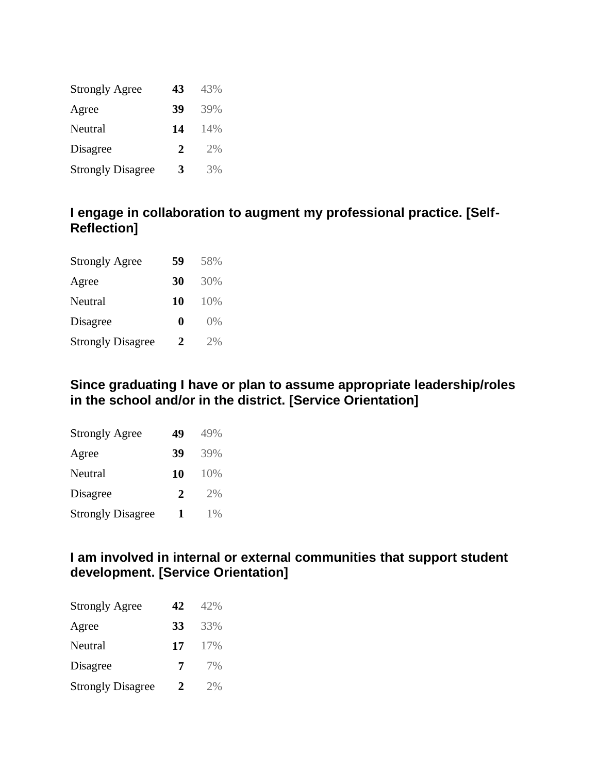| <b>Strongly Agree</b>    | 43 | 43% |
|--------------------------|----|-----|
| Agree                    | 39 | 39% |
| Neutral                  | 14 | 14% |
| Disagree                 | 2  | 2%  |
| <b>Strongly Disagree</b> | 3  | 3%  |

#### **I engage in collaboration to augment my professional practice. [Self-Reflection]**

| <b>Strongly Agree</b>    | 59 | 58% |
|--------------------------|----|-----|
| Agree                    | 30 | 30% |
| Neutral                  | 10 | 10% |
| Disagree                 | 0  | ()% |
| <b>Strongly Disagree</b> | 2  | 2%  |

### **Since graduating I have or plan to assume appropriate leadership/roles in the school and/or in the district. [Service Orientation]**

| <b>Strongly Agree</b>    | 49 | 49% |
|--------------------------|----|-----|
| Agree                    | 39 | 39% |
| Neutral                  | 10 | 10% |
| Disagree                 | 2  | 2%  |
| <b>Strongly Disagree</b> | 1  | 1%  |

#### **I am involved in internal or external communities that support student development. [Service Orientation]**

| <b>Strongly Agree</b>    | 42 | 42% |
|--------------------------|----|-----|
| Agree                    | 33 | 33% |
| Neutral                  | 17 | 17% |
| Disagree                 | 7  | 7%  |
| <b>Strongly Disagree</b> | 2  | 2%  |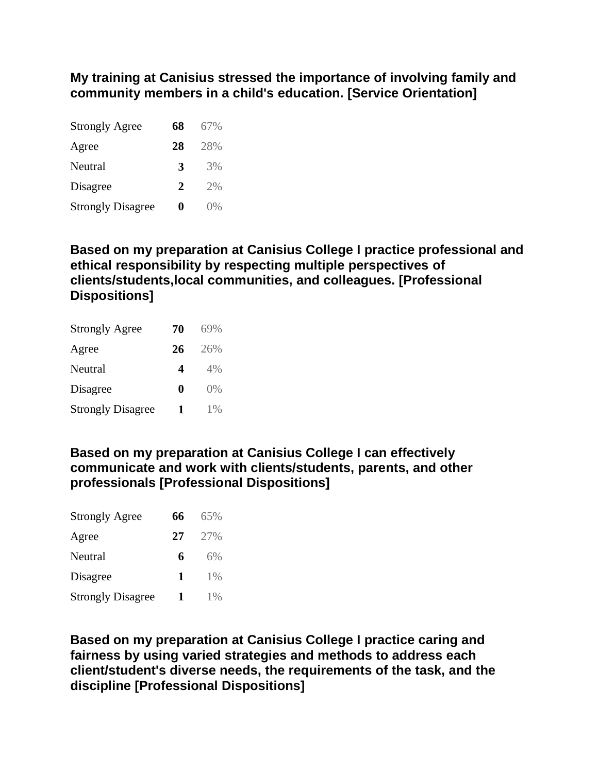**My training at Canisius stressed the importance of involving family and community members in a child's education. [Service Orientation]**

| <b>Strongly Agree</b>    | 68 | 67%   |
|--------------------------|----|-------|
| Agree                    | 28 | 28%   |
| Neutral                  | 3  | 3%    |
| Disagree                 | 2  | 2%    |
| <b>Strongly Disagree</b> | 0  | $0\%$ |

#### **Based on my preparation at Canisius College I practice professional and ethical responsibility by respecting multiple perspectives of clients/students,local communities, and colleagues. [Professional Dispositions]**

| <b>Strongly Agree</b>    | 70 | 69% |
|--------------------------|----|-----|
| Agree                    | 26 | 26% |
| Neutral                  | 4  | 4%  |
| Disagree                 | 0  | 0%  |
| <b>Strongly Disagree</b> | 1  | 1%  |

#### **Based on my preparation at Canisius College I can effectively communicate and work with clients/students, parents, and other professionals [Professional Dispositions]**

| <b>Strongly Agree</b>    | 66 | 65%   |
|--------------------------|----|-------|
| Agree                    | 27 | 27%   |
| Neutral                  | 6  | 6%    |
| Disagree                 | 1  | $1\%$ |
| <b>Strongly Disagree</b> | 1  | 1%    |

**Based on my preparation at Canisius College I practice caring and fairness by using varied strategies and methods to address each client/student's diverse needs, the requirements of the task, and the discipline [Professional Dispositions]**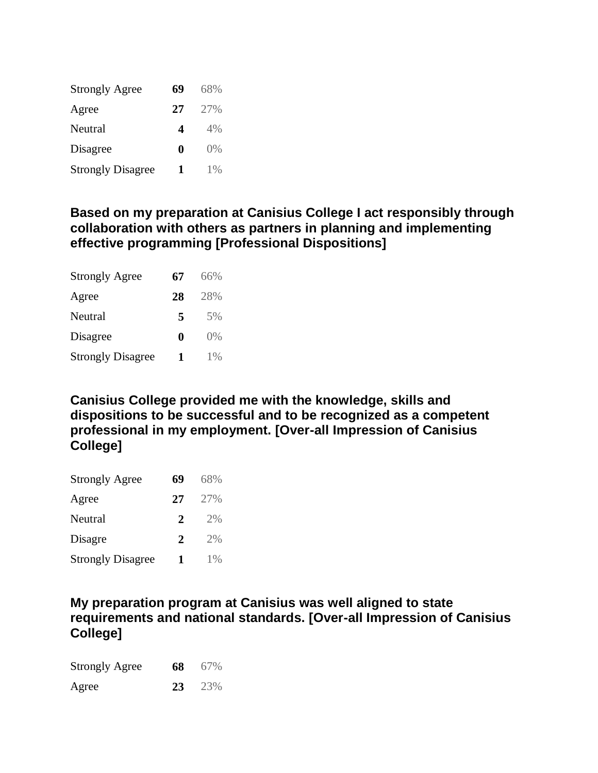| <b>Strongly Agree</b>    | 69 | 68%   |
|--------------------------|----|-------|
| Agree                    | 27 | 27%   |
| Neutral                  | 4  | 4%    |
| Disagree                 | 0  | ()%   |
| <b>Strongly Disagree</b> |    | $1\%$ |

#### **Based on my preparation at Canisius College I act responsibly through collaboration with others as partners in planning and implementing effective programming [Professional Dispositions]**

| <b>Strongly Agree</b>    | 67 | 66%   |
|--------------------------|----|-------|
| Agree                    | 28 | 28%   |
| Neutral                  | 5  | 5%    |
| Disagree                 | 0  | ()%   |
| <b>Strongly Disagree</b> | 1  | $1\%$ |

**Canisius College provided me with the knowledge, skills and dispositions to be successful and to be recognized as a competent professional in my employment. [Over-all Impression of Canisius College]**

| <b>Strongly Agree</b>    | 69 | 68%   |
|--------------------------|----|-------|
| Agree                    | 27 | 27%   |
| Neutral                  | 2  | 2%    |
| Disagre                  | 2  | 2%    |
| <b>Strongly Disagree</b> | 1  | $1\%$ |

#### **My preparation program at Canisius was well aligned to state requirements and national standards. [Over-all Impression of Canisius College]**

| <b>Strongly Agree</b> | 68 67%        |
|-----------------------|---------------|
| Agree                 | <b>23</b> 23% |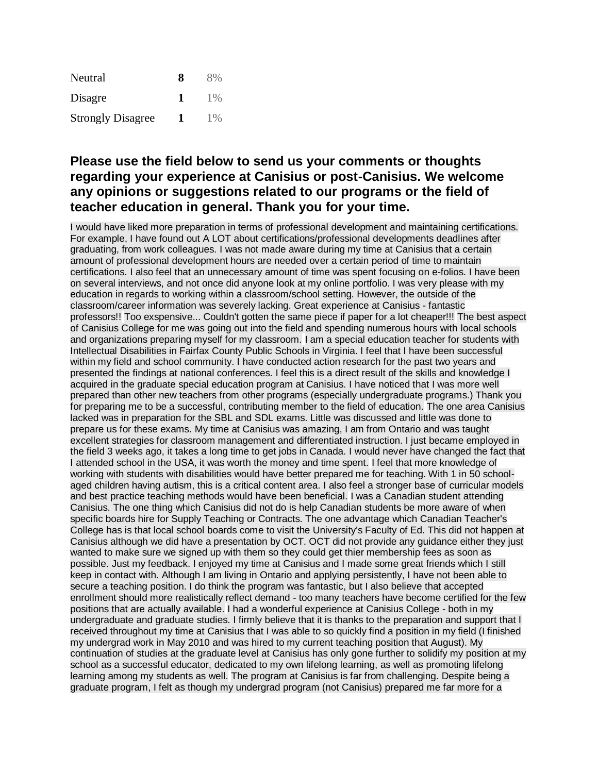| Neutral                  | Я | 8%    |
|--------------------------|---|-------|
| Disagre                  |   | $1\%$ |
| <b>Strongly Disagree</b> |   | $1\%$ |

#### **Please use the field below to send us your comments or thoughts regarding your experience at Canisius or post-Canisius. We welcome any opinions or suggestions related to our programs or the field of teacher education in general. Thank you for your time.**

I would have liked more preparation in terms of professional development and maintaining certifications. For example, I have found out A LOT about certifications/professional developments deadlines after graduating, from work colleagues. I was not made aware during my time at Canisius that a certain amount of professional development hours are needed over a certain period of time to maintain certifications. I also feel that an unnecessary amount of time was spent focusing on e-folios. I have been on several interviews, and not once did anyone look at my online portfolio. I was very please with my education in regards to working within a classroom/school setting. However, the outside of the classroom/career information was severely lacking. Great experience at Canisius - fantastic professors!! Too exspensive... Couldn't gotten the same piece if paper for a lot cheaper!!! The best aspect of Canisius College for me was going out into the field and spending numerous hours with local schools and organizations preparing myself for my classroom. I am a special education teacher for students with Intellectual Disabilities in Fairfax County Public Schools in Virginia. I feel that I have been successful within my field and school community. I have conducted action research for the past two years and presented the findings at national conferences. I feel this is a direct result of the skills and knowledge I acquired in the graduate special education program at Canisius. I have noticed that I was more well prepared than other new teachers from other programs (especially undergraduate programs.) Thank you for preparing me to be a successful, contributing member to the field of education. The one area Canisius lacked was in preparation for the SBL and SDL exams. Little was discussed and little was done to prepare us for these exams. My time at Canisius was amazing, I am from Ontario and was taught excellent strategies for classroom management and differentiated instruction. I just became employed in the field 3 weeks ago, it takes a long time to get jobs in Canada. I would never have changed the fact that I attended school in the USA, it was worth the money and time spent. I feel that more knowledge of working with students with disabilities would have better prepared me for teaching. With 1 in 50 schoolaged children having autism, this is a critical content area. I also feel a stronger base of curricular models and best practice teaching methods would have been beneficial. I was a Canadian student attending Canisius. The one thing which Canisius did not do is help Canadian students be more aware of when specific boards hire for Supply Teaching or Contracts. The one advantage which Canadian Teacher's College has is that local school boards come to visit the University's Faculty of Ed. This did not happen at Canisius although we did have a presentation by OCT. OCT did not provide any guidance either they just wanted to make sure we signed up with them so they could get thier membership fees as soon as possible. Just my feedback. I enjoyed my time at Canisius and I made some great friends which I still keep in contact with. Although I am living in Ontario and applying persistently, I have not been able to secure a teaching position. I do think the program was fantastic, but I also believe that accepted enrollment should more realistically reflect demand - too many teachers have become certified for the few positions that are actually available. I had a wonderful experience at Canisius College - both in my undergraduate and graduate studies. I firmly believe that it is thanks to the preparation and support that I received throughout my time at Canisius that I was able to so quickly find a position in my field (I finished my undergrad work in May 2010 and was hired to my current teaching position that August). My continuation of studies at the graduate level at Canisius has only gone further to solidify my position at my school as a successful educator, dedicated to my own lifelong learning, as well as promoting lifelong learning among my students as well. The program at Canisius is far from challenging. Despite being a graduate program, I felt as though my undergrad program (not Canisius) prepared me far more for a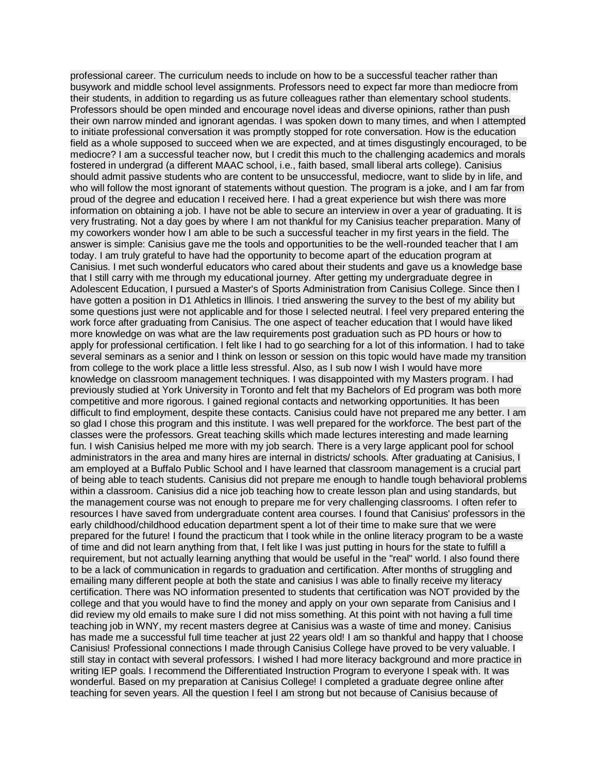professional career. The curriculum needs to include on how to be a successful teacher rather than busywork and middle school level assignments. Professors need to expect far more than mediocre from their students, in addition to regarding us as future colleagues rather than elementary school students. Professors should be open minded and encourage novel ideas and diverse opinions, rather than push their own narrow minded and ignorant agendas. I was spoken down to many times, and when I attempted to initiate professional conversation it was promptly stopped for rote conversation. How is the education field as a whole supposed to succeed when we are expected, and at times disgustingly encouraged, to be mediocre? I am a successful teacher now, but I credit this much to the challenging academics and morals fostered in undergrad (a different MAAC school, i.e., faith based, small liberal arts college). Canisius should admit passive students who are content to be unsuccessful, mediocre, want to slide by in life, and who will follow the most ignorant of statements without question. The program is a joke, and I am far from proud of the degree and education I received here. I had a great experience but wish there was more information on obtaining a job. I have not be able to secure an interview in over a year of graduating. It is very frustrating. Not a day goes by where I am not thankful for my Canisius teacher preparation. Many of my coworkers wonder how I am able to be such a successful teacher in my first years in the field. The answer is simple: Canisius gave me the tools and opportunities to be the well-rounded teacher that I am today. I am truly grateful to have had the opportunity to become apart of the education program at Canisius. I met such wonderful educators who cared about their students and gave us a knowledge base that I still carry with me through my educational journey. After getting my undergraduate degree in Adolescent Education, I pursued a Master's of Sports Administration from Canisius College. Since then I have gotten a position in D1 Athletics in Illinois. I tried answering the survey to the best of my ability but some questions just were not applicable and for those I selected neutral. I feel very prepared entering the work force after graduating from Canisius. The one aspect of teacher education that I would have liked more knowledge on was what are the law requirements post graduation such as PD hours or how to apply for professional certification. I felt like I had to go searching for a lot of this information. I had to take several seminars as a senior and I think on lesson or session on this topic would have made my transition from college to the work place a little less stressful. Also, as I sub now I wish I would have more knowledge on classroom management techniques. I was disappointed with my Masters program. I had previously studied at York University in Toronto and felt that my Bachelors of Ed program was both more competitive and more rigorous. I gained regional contacts and networking opportunities. It has been difficult to find employment, despite these contacts. Canisius could have not prepared me any better. I am so glad I chose this program and this institute. I was well prepared for the workforce. The best part of the classes were the professors. Great teaching skills which made lectures interesting and made learning fun. I wish Canisius helped me more with my job search. There is a very large applicant pool for school administrators in the area and many hires are internal in districts/ schools. After graduating at Canisius, I am employed at a Buffalo Public School and I have learned that classroom management is a crucial part of being able to teach students. Canisius did not prepare me enough to handle tough behavioral problems within a classroom. Canisius did a nice job teaching how to create lesson plan and using standards, but the management course was not enough to prepare me for very challenging classrooms. I often refer to resources I have saved from undergraduate content area courses. I found that Canisius' professors in the early childhood/childhood education department spent a lot of their time to make sure that we were prepared for the future! I found the practicum that I took while in the online literacy program to be a waste of time and did not learn anything from that, I felt like I was just putting in hours for the state to fulfill a requirement, but not actually learning anything that would be useful in the "real" world. I also found there to be a lack of communication in regards to graduation and certification. After months of struggling and emailing many different people at both the state and canisius I was able to finally receive my literacy certification. There was NO information presented to students that certification was NOT provided by the college and that you would have to find the money and apply on your own separate from Canisius and I did review my old emails to make sure I did not miss something. At this point with not having a full time teaching job in WNY, my recent masters degree at Canisius was a waste of time and money. Canisius has made me a successful full time teacher at just 22 years old! I am so thankful and happy that I choose Canisius! Professional connections I made through Canisius College have proved to be very valuable. I still stay in contact with several professors. I wished I had more literacy background and more practice in writing IEP goals. I recommend the Differentiated Instruction Program to everyone I speak with. It was wonderful. Based on my preparation at Canisius College! I completed a graduate degree online after teaching for seven years. All the question I feel I am strong but not because of Canisius because of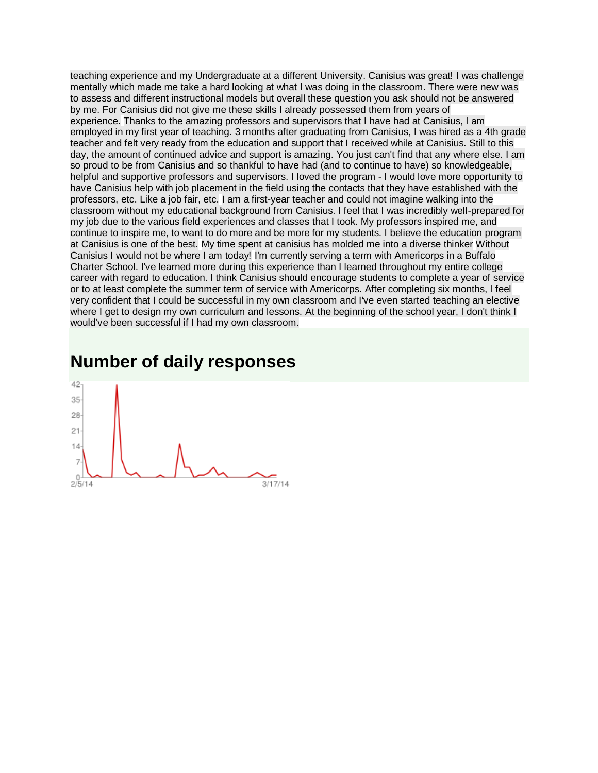teaching experience and my Undergraduate at a different University. Canisius was great! I was challenge mentally which made me take a hard looking at what I was doing in the classroom. There were new was to assess and different instructional models but overall these question you ask should not be answered by me. For Canisius did not give me these skills I already possessed them from years of experience. Thanks to the amazing professors and supervisors that I have had at Canisius, I am employed in my first year of teaching. 3 months after graduating from Canisius, I was hired as a 4th grade teacher and felt very ready from the education and support that I received while at Canisius. Still to this day, the amount of continued advice and support is amazing. You just can't find that any where else. I am so proud to be from Canisius and so thankful to have had (and to continue to have) so knowledgeable, helpful and supportive professors and supervisors. I loved the program - I would love more opportunity to have Canisius help with job placement in the field using the contacts that they have established with the professors, etc. Like a job fair, etc. I am a first-year teacher and could not imagine walking into the classroom without my educational background from Canisius. I feel that I was incredibly well-prepared for my job due to the various field experiences and classes that I took. My professors inspired me, and continue to inspire me, to want to do more and be more for my students. I believe the education program at Canisius is one of the best. My time spent at canisius has molded me into a diverse thinker Without Canisius I would not be where I am today! I'm currently serving a term with Americorps in a Buffalo Charter School. I've learned more during this experience than I learned throughout my entire college career with regard to education. I think Canisius should encourage students to complete a year of service or to at least complete the summer term of service with Americorps. After completing six months, I feel very confident that I could be successful in my own classroom and I've even started teaching an elective where I get to design my own curriculum and lessons. At the beginning of the school year, I don't think I would've been successful if I had my own classroom.

## **Number of daily responses**

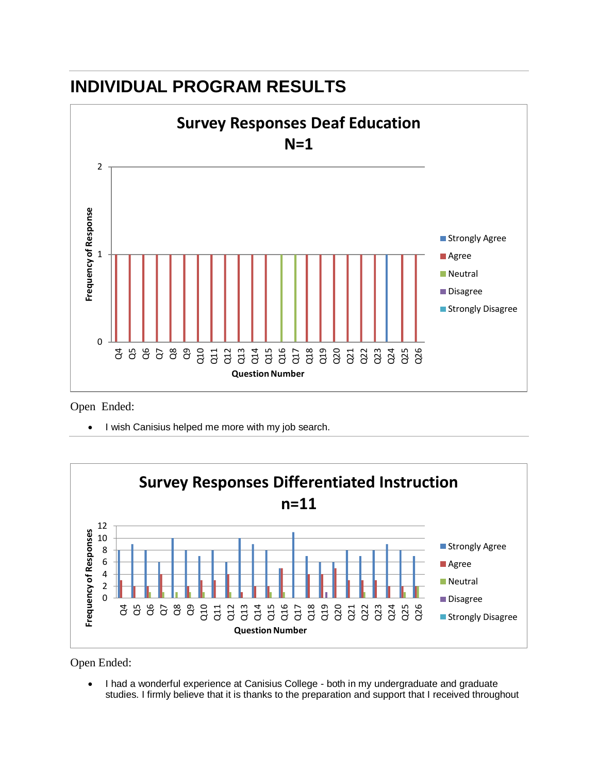

## **INDIVIDUAL PROGRAM RESULTS**

Open Ended:

I wish Canisius helped me more with my job search.



Open Ended:

• I had a wonderful experience at Canisius College - both in my undergraduate and graduate studies. I firmly believe that it is thanks to the preparation and support that I received throughout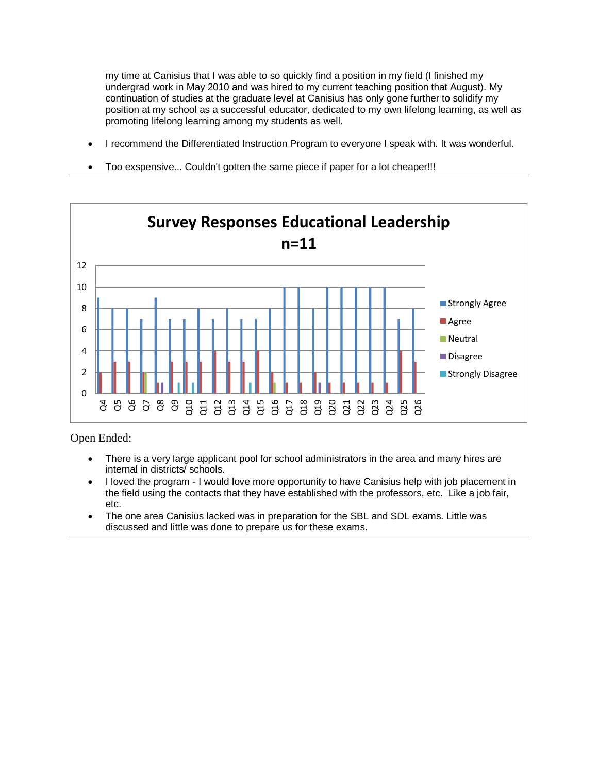my time at Canisius that I was able to so quickly find a position in my field (I finished my undergrad work in May 2010 and was hired to my current teaching position that August). My continuation of studies at the graduate level at Canisius has only gone further to solidify my position at my school as a successful educator, dedicated to my own lifelong learning, as well as promoting lifelong learning among my students as well.

- I recommend the Differentiated Instruction Program to everyone I speak with. It was wonderful.
- Too exspensive... Couldn't gotten the same piece if paper for a lot cheaper!!!



- There is a very large applicant pool for school administrators in the area and many hires are internal in districts/ schools.
- I loved the program I would love more opportunity to have Canisius help with job placement in the field using the contacts that they have established with the professors, etc. Like a job fair, etc.
- The one area Canisius lacked was in preparation for the SBL and SDL exams. Little was discussed and little was done to prepare us for these exams.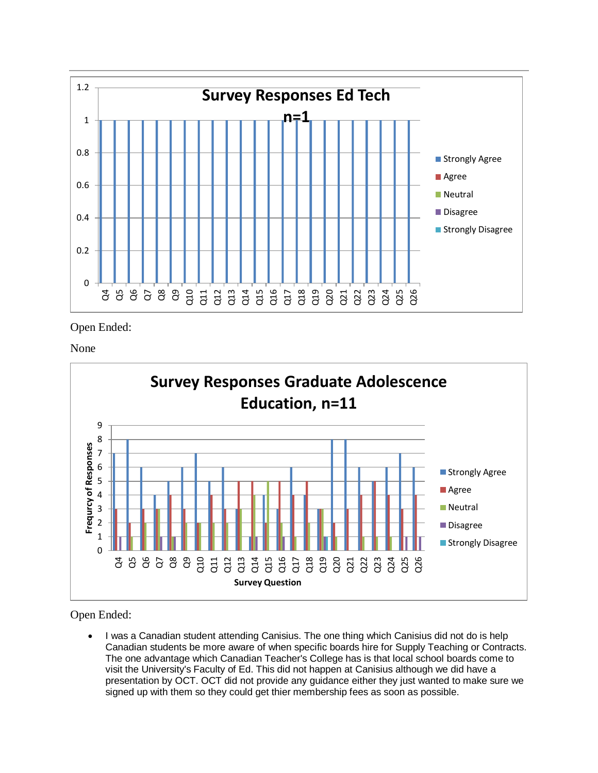

None



Open Ended:

 I was a Canadian student attending Canisius. The one thing which Canisius did not do is help Canadian students be more aware of when specific boards hire for Supply Teaching or Contracts. The one advantage which Canadian Teacher's College has is that local school boards come to visit the University's Faculty of Ed. This did not happen at Canisius although we did have a presentation by OCT. OCT did not provide any guidance either they just wanted to make sure we signed up with them so they could get thier membership fees as soon as possible.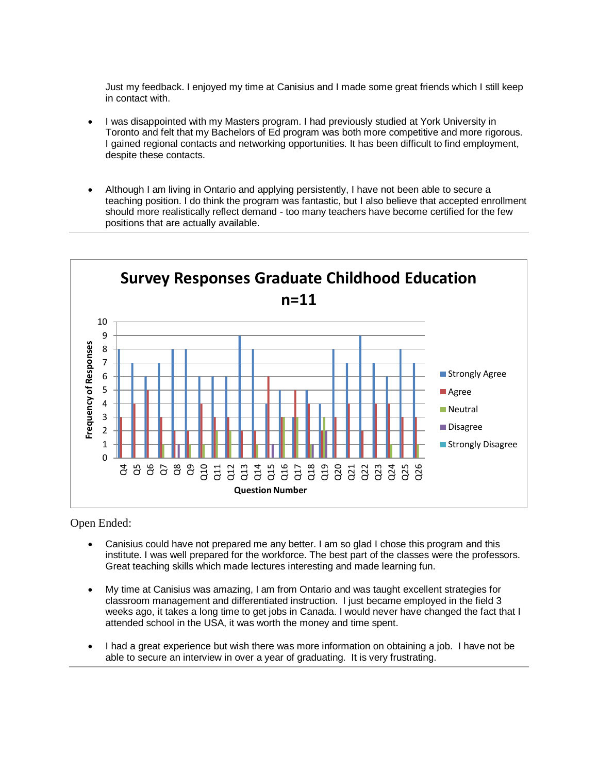Just my feedback. I enjoyed my time at Canisius and I made some great friends which I still keep in contact with.

- I was disappointed with my Masters program. I had previously studied at York University in Toronto and felt that my Bachelors of Ed program was both more competitive and more rigorous. I gained regional contacts and networking opportunities. It has been difficult to find employment, despite these contacts.
- Although I am living in Ontario and applying persistently, I have not been able to secure a teaching position. I do think the program was fantastic, but I also believe that accepted enrollment should more realistically reflect demand - too many teachers have become certified for the few positions that are actually available.



- Canisius could have not prepared me any better. I am so glad I chose this program and this institute. I was well prepared for the workforce. The best part of the classes were the professors. Great teaching skills which made lectures interesting and made learning fun.
- My time at Canisius was amazing, I am from Ontario and was taught excellent strategies for classroom management and differentiated instruction. I just became employed in the field 3 weeks ago, it takes a long time to get jobs in Canada. I would never have changed the fact that I attended school in the USA, it was worth the money and time spent.
- I had a great experience but wish there was more information on obtaining a job. I have not be able to secure an interview in over a year of graduating. It is very frustrating.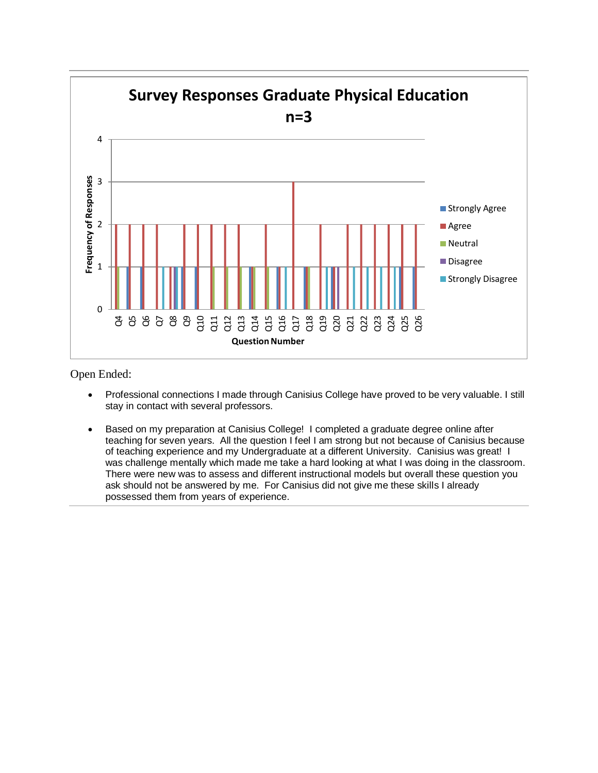

- Professional connections I made through Canisius College have proved to be very valuable. I still stay in contact with several professors.
- Based on my preparation at Canisius College! I completed a graduate degree online after teaching for seven years. All the question I feel I am strong but not because of Canisius because of teaching experience and my Undergraduate at a different University. Canisius was great! I was challenge mentally which made me take a hard looking at what I was doing in the classroom. There were new was to assess and different instructional models but overall these question you ask should not be answered by me. For Canisius did not give me these skills I already possessed them from years of experience.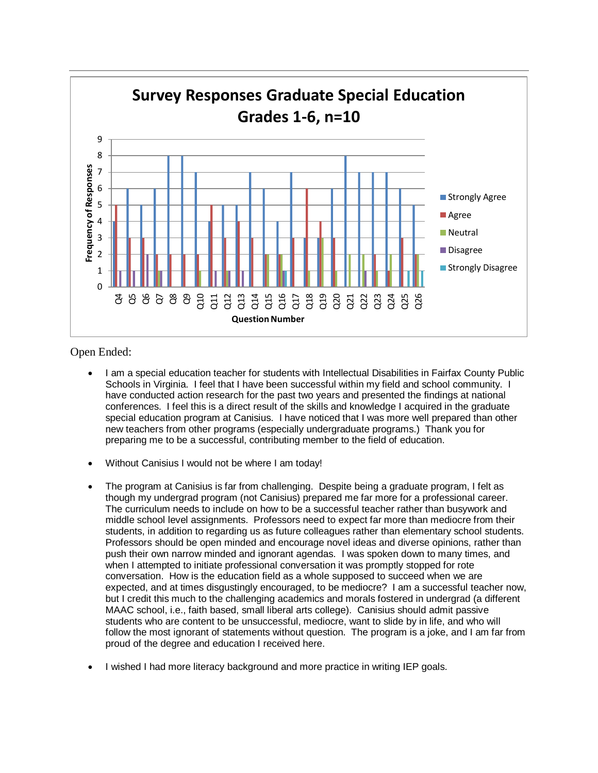

- I am a special education teacher for students with Intellectual Disabilities in Fairfax County Public Schools in Virginia. I feel that I have been successful within my field and school community. I have conducted action research for the past two years and presented the findings at national conferences. I feel this is a direct result of the skills and knowledge I acquired in the graduate special education program at Canisius. I have noticed that I was more well prepared than other new teachers from other programs (especially undergraduate programs.) Thank you for preparing me to be a successful, contributing member to the field of education.
- Without Canisius I would not be where I am today!
- The program at Canisius is far from challenging. Despite being a graduate program, I felt as though my undergrad program (not Canisius) prepared me far more for a professional career. The curriculum needs to include on how to be a successful teacher rather than busywork and middle school level assignments. Professors need to expect far more than mediocre from their students, in addition to regarding us as future colleagues rather than elementary school students. Professors should be open minded and encourage novel ideas and diverse opinions, rather than push their own narrow minded and ignorant agendas. I was spoken down to many times, and when I attempted to initiate professional conversation it was promptly stopped for rote conversation. How is the education field as a whole supposed to succeed when we are expected, and at times disgustingly encouraged, to be mediocre? I am a successful teacher now, but I credit this much to the challenging academics and morals fostered in undergrad (a different MAAC school, i.e., faith based, small liberal arts college). Canisius should admit passive students who are content to be unsuccessful, mediocre, want to slide by in life, and who will follow the most ignorant of statements without question. The program is a joke, and I am far from proud of the degree and education I received here.
- I wished I had more literacy background and more practice in writing IEP goals.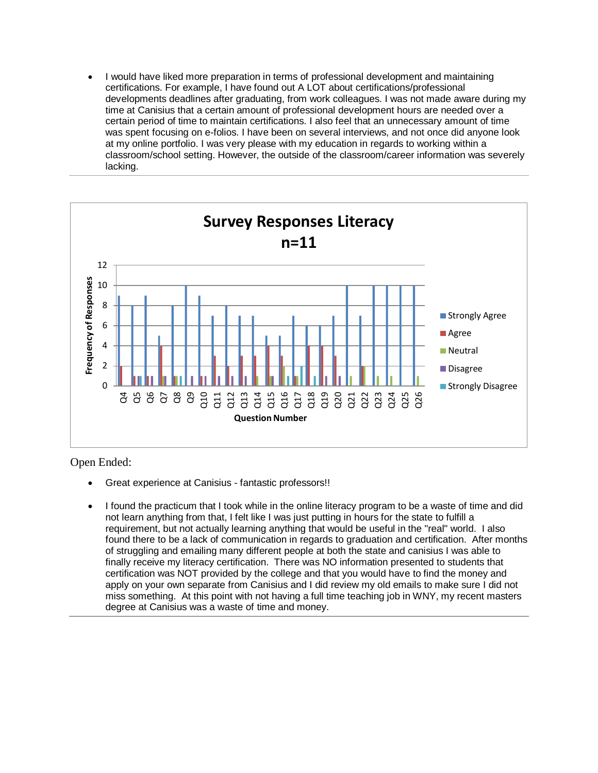I would have liked more preparation in terms of professional development and maintaining certifications. For example, I have found out A LOT about certifications/professional developments deadlines after graduating, from work colleagues. I was not made aware during my time at Canisius that a certain amount of professional development hours are needed over a certain period of time to maintain certifications. I also feel that an unnecessary amount of time was spent focusing on e-folios. I have been on several interviews, and not once did anyone look at my online portfolio. I was very please with my education in regards to working within a classroom/school setting. However, the outside of the classroom/career information was severely lacking.



- Great experience at Canisius fantastic professors!!
- I found the practicum that I took while in the online literacy program to be a waste of time and did not learn anything from that, I felt like I was just putting in hours for the state to fulfill a requirement, but not actually learning anything that would be useful in the "real" world. I also found there to be a lack of communication in regards to graduation and certification. After months of struggling and emailing many different people at both the state and canisius I was able to finally receive my literacy certification. There was NO information presented to students that certification was NOT provided by the college and that you would have to find the money and apply on your own separate from Canisius and I did review my old emails to make sure I did not miss something. At this point with not having a full time teaching job in WNY, my recent masters degree at Canisius was a waste of time and money.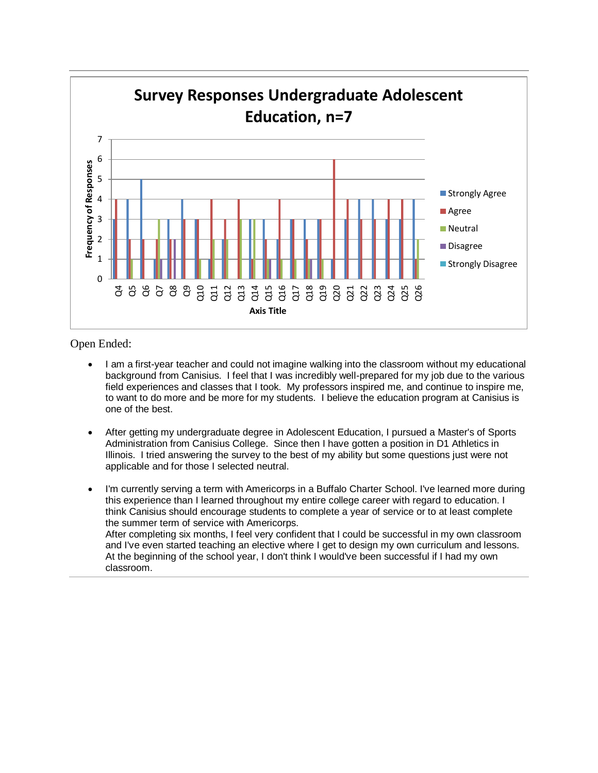

- I am a first-year teacher and could not imagine walking into the classroom without my educational background from Canisius. I feel that I was incredibly well-prepared for my job due to the various field experiences and classes that I took. My professors inspired me, and continue to inspire me, to want to do more and be more for my students. I believe the education program at Canisius is one of the best.
- After getting my undergraduate degree in Adolescent Education, I pursued a Master's of Sports Administration from Canisius College. Since then I have gotten a position in D1 Athletics in Illinois. I tried answering the survey to the best of my ability but some questions just were not applicable and for those I selected neutral.
- I'm currently serving a term with Americorps in a Buffalo Charter School. I've learned more during this experience than I learned throughout my entire college career with regard to education. I think Canisius should encourage students to complete a year of service or to at least complete the summer term of service with Americorps. After completing six months, I feel very confident that I could be successful in my own classroom and I've even started teaching an elective where I get to design my own curriculum and lessons. At the beginning of the school year, I don't think I would've been successful if I had my own classroom.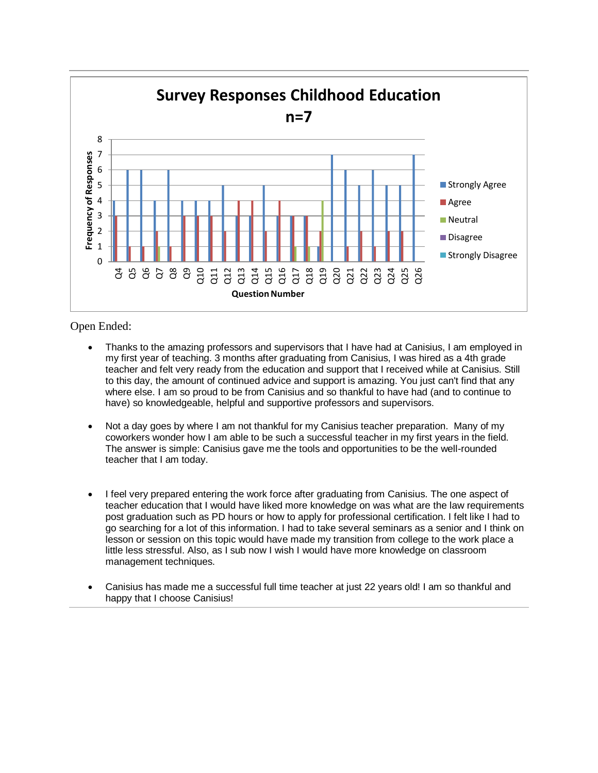

- Thanks to the amazing professors and supervisors that I have had at Canisius, I am employed in my first year of teaching. 3 months after graduating from Canisius, I was hired as a 4th grade teacher and felt very ready from the education and support that I received while at Canisius. Still to this day, the amount of continued advice and support is amazing. You just can't find that any where else. I am so proud to be from Canisius and so thankful to have had (and to continue to have) so knowledgeable, helpful and supportive professors and supervisors.
- Not a day goes by where I am not thankful for my Canisius teacher preparation. Many of my coworkers wonder how I am able to be such a successful teacher in my first years in the field. The answer is simple: Canisius gave me the tools and opportunities to be the well-rounded teacher that I am today.
- I feel very prepared entering the work force after graduating from Canisius. The one aspect of teacher education that I would have liked more knowledge on was what are the law requirements post graduation such as PD hours or how to apply for professional certification. I felt like I had to go searching for a lot of this information. I had to take several seminars as a senior and I think on lesson or session on this topic would have made my transition from college to the work place a little less stressful. Also, as I sub now I wish I would have more knowledge on classroom management techniques.
- Canisius has made me a successful full time teacher at just 22 years old! I am so thankful and happy that I choose Canisius!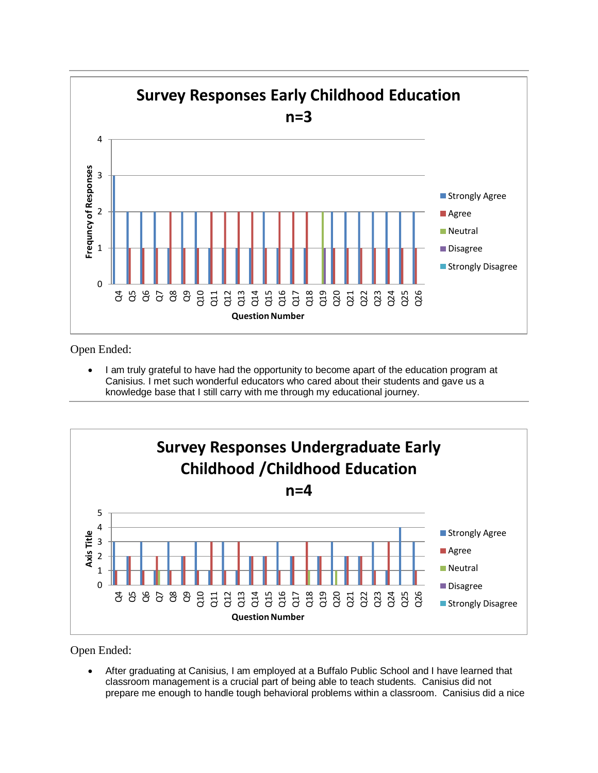

 I am truly grateful to have had the opportunity to become apart of the education program at Canisius. I met such wonderful educators who cared about their students and gave us a knowledge base that I still carry with me through my educational journey.



Open Ended:

 After graduating at Canisius, I am employed at a Buffalo Public School and I have learned that classroom management is a crucial part of being able to teach students. Canisius did not prepare me enough to handle tough behavioral problems within a classroom. Canisius did a nice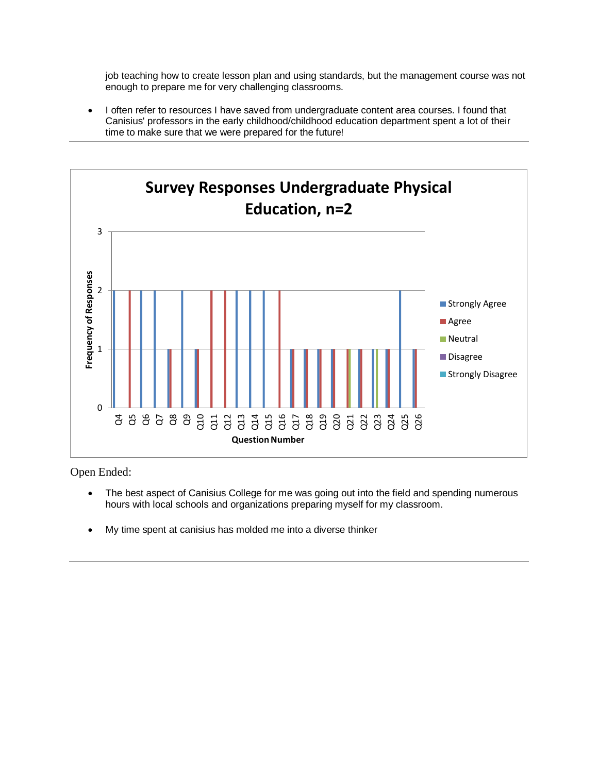job teaching how to create lesson plan and using standards, but the management course was not enough to prepare me for very challenging classrooms.

 I often refer to resources I have saved from undergraduate content area courses. I found that Canisius' professors in the early childhood/childhood education department spent a lot of their time to make sure that we were prepared for the future!



- The best aspect of Canisius College for me was going out into the field and spending numerous hours with local schools and organizations preparing myself for my classroom.
- My time spent at canisius has molded me into a diverse thinker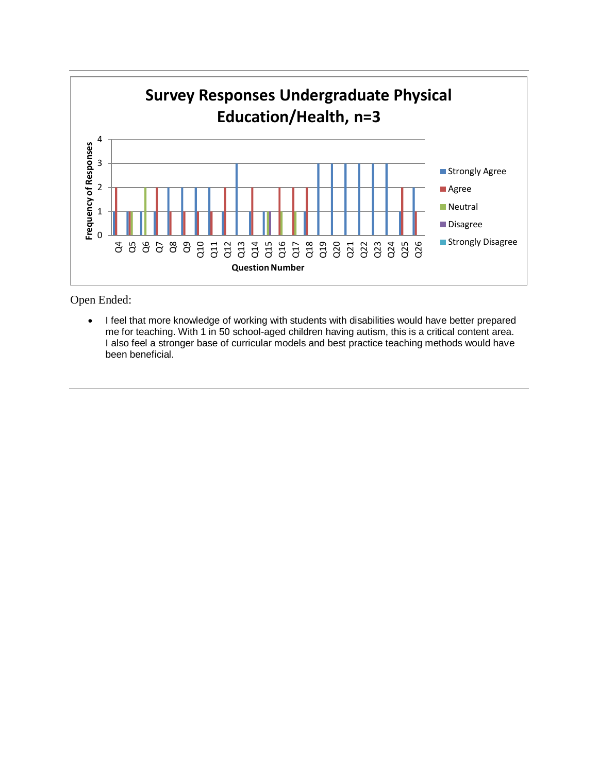

• I feel that more knowledge of working with students with disabilities would have better prepared me for teaching. With 1 in 50 school-aged children having autism, this is a critical content area. I also feel a stronger base of curricular models and best practice teaching methods would have been beneficial.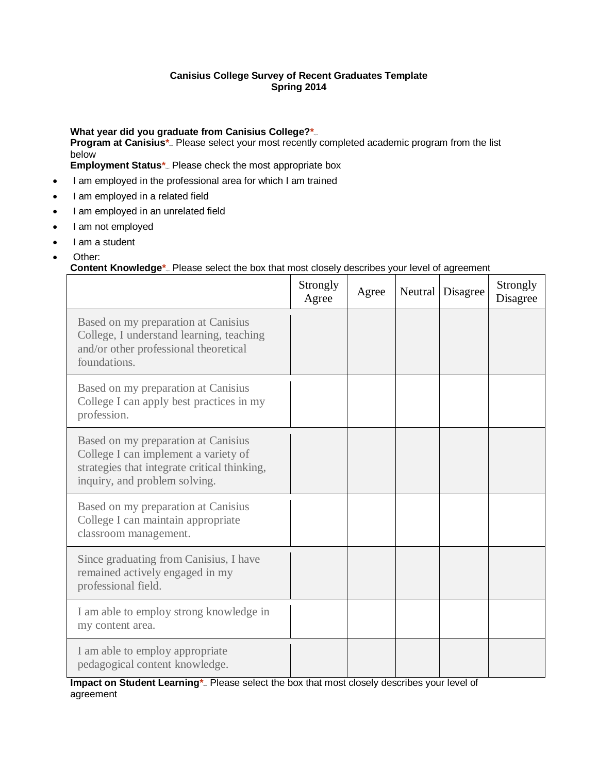#### **Canisius College Survey of Recent Graduates Template Spring 2014**

What year did you graduate from Canisius College?<sup>\*</sup> **Program at Canisius\*** Please select your most recently completed academic program from the list below **Employment Status\*** Please check the most appropriate box

- I am employed in the professional area for which I am trained
- I am employed in a related field
- I am employed in an unrelated field
- I am not employed
- I am a student
- Other:

#### **Content Knowledge**<sup>\*</sup><sub>-</sub> Please select the box that most closely describes your level of agreement

|                                                                                                                                                              | Strongly<br>Agree | Agree | Neutral | Disagree | Strongly<br>Disagree |
|--------------------------------------------------------------------------------------------------------------------------------------------------------------|-------------------|-------|---------|----------|----------------------|
| Based on my preparation at Canisius<br>College, I understand learning, teaching<br>and/or other professional theoretical<br>foundations.                     |                   |       |         |          |                      |
| Based on my preparation at Canisius<br>College I can apply best practices in my<br>profession.                                                               |                   |       |         |          |                      |
| Based on my preparation at Canisius<br>College I can implement a variety of<br>strategies that integrate critical thinking,<br>inquiry, and problem solving. |                   |       |         |          |                      |
| Based on my preparation at Canisius<br>College I can maintain appropriate<br>classroom management.                                                           |                   |       |         |          |                      |
| Since graduating from Canisius, I have<br>remained actively engaged in my<br>professional field.                                                             |                   |       |         |          |                      |
| I am able to employ strong knowledge in<br>my content area.                                                                                                  |                   |       |         |          |                      |
| I am able to employ appropriate<br>pedagogical content knowledge.                                                                                            |                   |       |         |          |                      |

Impact on Student Learning<sup>\*</sup><sub>-</sub> Please select the box that most closely describes your level of agreement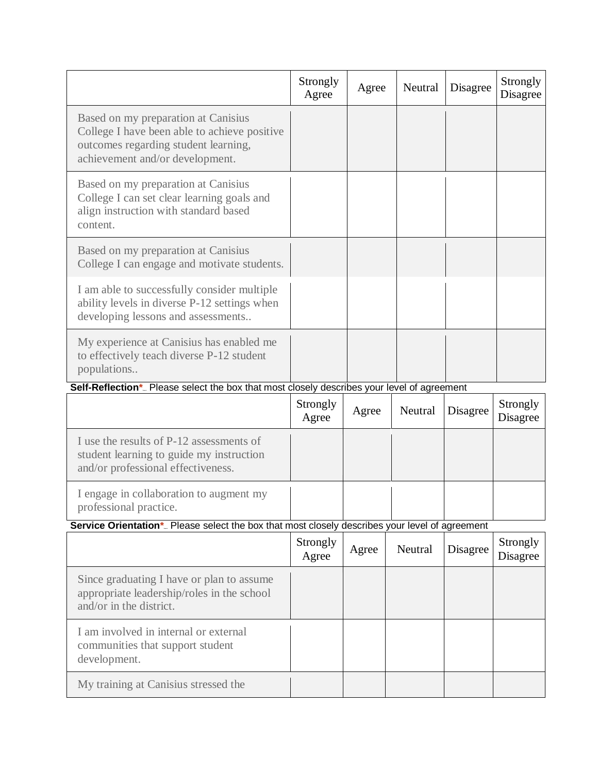|                                                                                                                                                                | Strongly<br>Agree | Agree | Neutral | Disagree | Strongly<br>Disagree |
|----------------------------------------------------------------------------------------------------------------------------------------------------------------|-------------------|-------|---------|----------|----------------------|
| Based on my preparation at Canisius<br>College I have been able to achieve positive<br>outcomes regarding student learning,<br>achievement and/or development. |                   |       |         |          |                      |
| Based on my preparation at Canisius<br>College I can set clear learning goals and<br>align instruction with standard based<br>content.                         |                   |       |         |          |                      |
| Based on my preparation at Canisius<br>College I can engage and motivate students.                                                                             |                   |       |         |          |                      |
| I am able to successfully consider multiple<br>ability levels in diverse P-12 settings when<br>developing lessons and assessments                              |                   |       |         |          |                      |
| My experience at Canisius has enabled me<br>to effectively teach diverse P-12 student<br>populations                                                           |                   |       |         |          |                      |
| Self-Reflection*_ Please select the box that most closely describes your level of agreement                                                                    |                   |       |         |          |                      |
|                                                                                                                                                                |                   |       |         |          |                      |
|                                                                                                                                                                | Strongly<br>Agree | Agree | Neutral | Disagree | Strongly<br>Disagree |
| I use the results of P-12 assessments of<br>student learning to guide my instruction<br>and/or professional effectiveness.                                     |                   |       |         |          |                      |
| I engage in collaboration to augment my<br>professional practice.                                                                                              |                   |       |         |          |                      |
| Service Orientation*_ Please select the box that most closely describes your level of agreement                                                                |                   |       |         |          |                      |
|                                                                                                                                                                | Strongly<br>Agree | Agree | Neutral | Disagree | Strongly<br>Disagree |
| Since graduating I have or plan to assume<br>appropriate leadership/roles in the school<br>and/or in the district.                                             |                   |       |         |          |                      |
| I am involved in internal or external<br>communities that support student<br>development.                                                                      |                   |       |         |          |                      |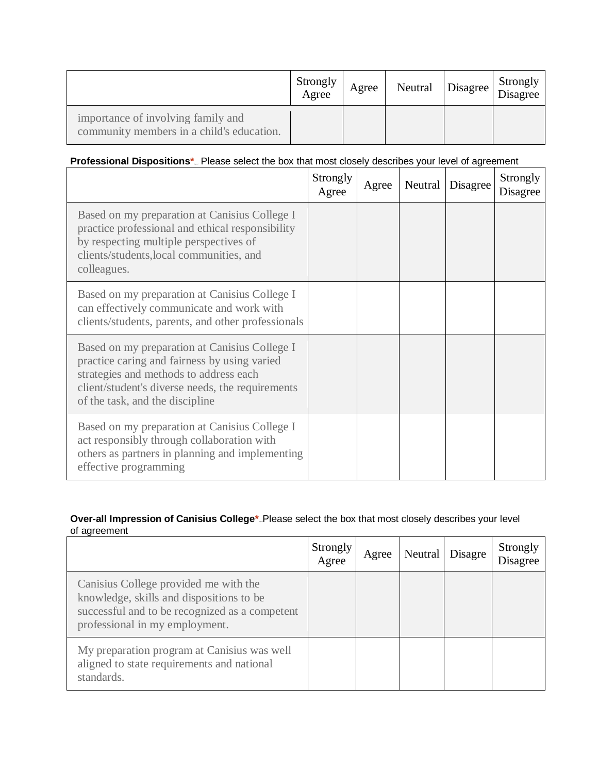|                                                                                 | Strongly<br>Agree | Agree | Neutral | Disagree | Strongly<br>Disagree |
|---------------------------------------------------------------------------------|-------------------|-------|---------|----------|----------------------|
| importance of involving family and<br>community members in a child's education. |                   |       |         |          |                      |

#### **Professional Dispositions\*** Please select the box that most closely describes your level of agreement

|                                                                                                                                                                                                                                | Strongly<br>Agree | Agree | Neutral | Disagree | Strongly<br>Disagree |
|--------------------------------------------------------------------------------------------------------------------------------------------------------------------------------------------------------------------------------|-------------------|-------|---------|----------|----------------------|
| Based on my preparation at Canisius College I<br>practice professional and ethical responsibility<br>by respecting multiple perspectives of<br>clients/students, local communities, and<br>colleagues.                         |                   |       |         |          |                      |
| Based on my preparation at Canisius College I<br>can effectively communicate and work with<br>clients/students, parents, and other professionals                                                                               |                   |       |         |          |                      |
| Based on my preparation at Canisius College I<br>practice caring and fairness by using varied<br>strategies and methods to address each<br>client/student's diverse needs, the requirements<br>of the task, and the discipline |                   |       |         |          |                      |
| Based on my preparation at Canisius College I<br>act responsibly through collaboration with<br>others as partners in planning and implementing<br>effective programming                                                        |                   |       |         |          |                      |

#### **Over-all Impression of Canisius College\***<sub>-</sub>Please select the box that most closely describes your level of agreement

|                                                                                                                                                                       | Strongly<br>Agree | Agree | Neutral   Disagre | Strongly<br>Disagree |
|-----------------------------------------------------------------------------------------------------------------------------------------------------------------------|-------------------|-------|-------------------|----------------------|
| Canisius College provided me with the<br>knowledge, skills and dispositions to be<br>successful and to be recognized as a competent<br>professional in my employment. |                   |       |                   |                      |
| My preparation program at Canisius was well<br>aligned to state requirements and national<br>standards.                                                               |                   |       |                   |                      |